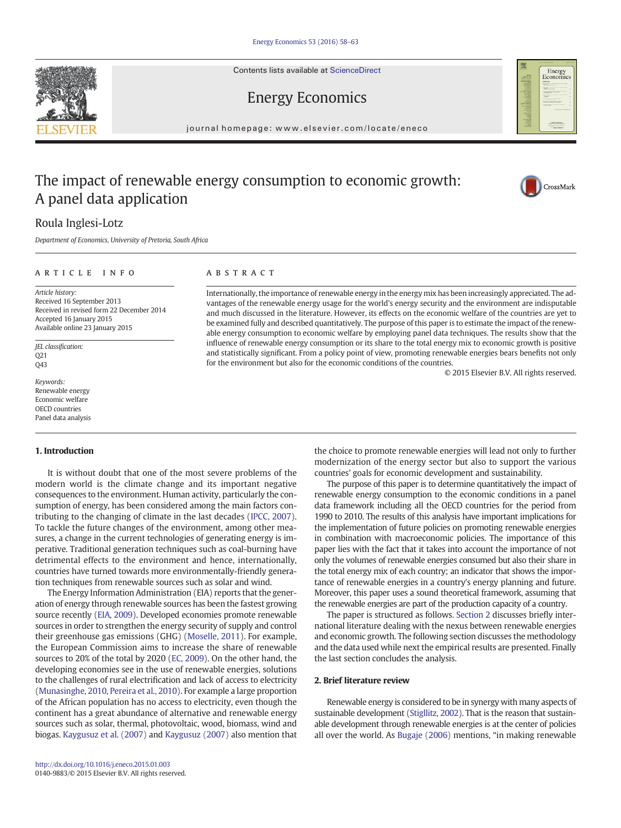Contents lists available at ScienceDirect



## Energy Economics

journal homepage: www.elsevier.com/locate/eneco

## The impact of renewable energy consumption to economic growth: A panel data application



## Roula Inglesi-Lotz

Department of Economics, University of Pretoria, South Africa

### article info abstract

Article history: Received 16 September 2013 Received in revised form 22 December 2014 Accepted 16 January 2015 Available online 23 January 2015

JEL classification: Q21 Q43

Keywords: Renewable energy Economic welfare OECD countries Panel data analysis

### 1. Introduction

It is without doubt that one of the most severe problems of the modern world is the climate change and its important negative consequences to the environment. Human activity, particularly the consumption of energy, has been considered among the main factors contributing to the changing of climate in the last decades ([IPCC, 2007](#page--1-0)). To tackle the future changes of the environment, among other measures, a change in the current technologies of generating energy is imperative. Traditional generation techniques such as coal-burning have detrimental effects to the environment and hence, internationally, countries have turned towards more environmentally-friendly generation techniques from renewable sources such as solar and wind.

The Energy Information Administration (EIA) reports that the generation of energy through renewable sources has been the fastest growing source recently ([EIA, 2009](#page--1-0)). Developed economies promote renewable sources in order to strengthen the energy security of supply and control their greenhouse gas emissions (GHG) ([Moselle, 2011](#page--1-0)). For example, the European Commission aims to increase the share of renewable sources to 20% of the total by 2020 ([EC, 2009\)](#page--1-0). On the other hand, the developing economies see in the use of renewable energies, solutions to the challenges of rural electrification and lack of access to electricity [\(Munasinghe, 2010, Pereira et al., 2010\)](#page--1-0). For example a large proportion of the African population has no access to electricity, even though the continent has a great abundance of alternative and renewable energy sources such as solar, thermal, photovoltaic, wood, biomass, wind and biogas. [Kaygusuz et al. \(2007\)](#page--1-0) and [Kaygusuz \(2007\)](#page--1-0) also mention that

Internationally, the importance of renewable energy in the energy mix has been increasingly appreciated. The advantages of the renewable energy usage for the world's energy security and the environment are indisputable and much discussed in the literature. However, its effects on the economic welfare of the countries are yet to be examined fully and described quantitatively. The purpose of this paper is to estimate the impact of the renewable energy consumption to economic welfare by employing panel data techniques. The results show that the influence of renewable energy consumption or its share to the total energy mix to economic growth is positive and statistically significant. From a policy point of view, promoting renewable energies bears benefits not only for the environment but also for the economic conditions of the countries.

© 2015 Elsevier B.V. All rights reserved.

the choice to promote renewable energies will lead not only to further modernization of the energy sector but also to support the various countries' goals for economic development and sustainability.

The purpose of this paper is to determine quantitatively the impact of renewable energy consumption to the economic conditions in a panel data framework including all the OECD countries for the period from 1990 to 2010. The results of this analysis have important implications for the implementation of future policies on promoting renewable energies in combination with macroeconomic policies. The importance of this paper lies with the fact that it takes into account the importance of not only the volumes of renewable energies consumed but also their share in the total energy mix of each country; an indicator that shows the importance of renewable energies in a country's energy planning and future. Moreover, this paper uses a sound theoretical framework, assuming that the renewable energies are part of the production capacity of a country.

The paper is structured as follows. Section 2 discusses briefly international literature dealing with the nexus between renewable energies and economic growth. The following section discusses the methodology and the data used while next the empirical results are presented. Finally the last section concludes the analysis.

#### 2. Brief literature review

Renewable energy is considered to be in synergy with many aspects of sustainable development [\(Stigllitz, 2002\)](#page--1-0). That is the reason that sustainable development through renewable energies is at the center of policies all over the world. As [Bugaje \(2006\)](#page--1-0) mentions, "in making renewable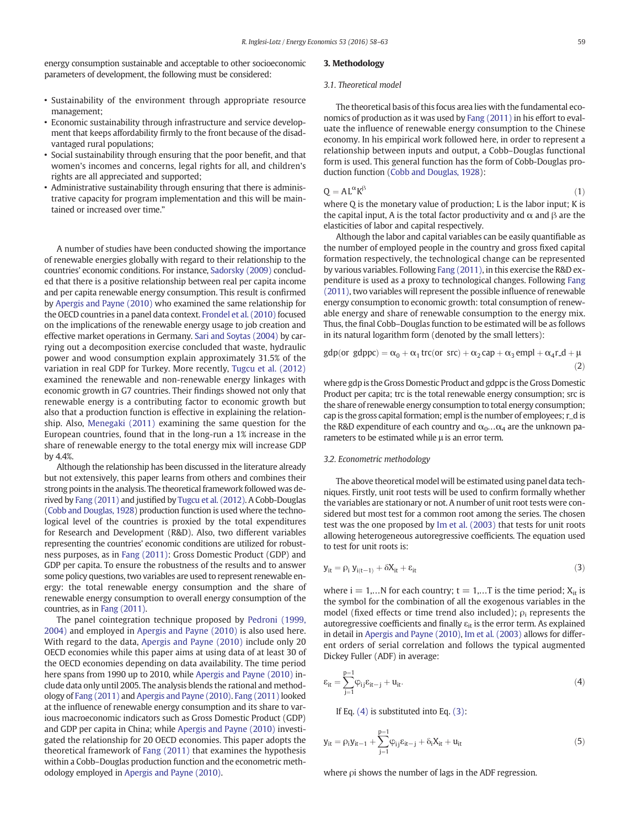energy consumption sustainable and acceptable to other socioeconomic parameters of development, the following must be considered:

- Sustainability of the environment through appropriate resource management;
- Economic sustainability through infrastructure and service development that keeps affordability firmly to the front because of the disadvantaged rural populations;
- Social sustainability through ensuring that the poor benefit, and that women's incomes and concerns, legal rights for all, and children's rights are all appreciated and supported;
- Administrative sustainability through ensuring that there is administrative capacity for program implementation and this will be maintained or increased over time."

A number of studies have been conducted showing the importance of renewable energies globally with regard to their relationship to the countries' economic conditions. For instance, [Sadorsky \(2009\)](#page--1-0) concluded that there is a positive relationship between real per capita income and per capita renewable energy consumption. This result is confirmed by [Apergis and Payne \(2010\)](#page--1-0) who examined the same relationship for the OECD countries in a panel data context. [Frondel et al. \(2010\)](#page--1-0) focused on the implications of the renewable energy usage to job creation and effective market operations in Germany. [Sari and Soytas \(2004\)](#page--1-0) by carrying out a decomposition exercise concluded that waste, hydraulic power and wood consumption explain approximately 31.5% of the variation in real GDP for Turkey. More recently, [Tugcu et al. \(2012\)](#page--1-0) examined the renewable and non-renewable energy linkages with economic growth in G7 countries. Their findings showed not only that renewable energy is a contributing factor to economic growth but also that a production function is effective in explaining the relationship. Also, [Menegaki \(2011\)](#page--1-0) examining the same question for the European countries, found that in the long-run a 1% increase in the share of renewable energy to the total energy mix will increase GDP  $hv$  4.4%

Although the relationship has been discussed in the literature already but not extensively, this paper learns from others and combines their strong points in the analysis. The theoretical framework followed was derived by [Fang \(2011\)](#page--1-0) and justified by [Tugcu et al. \(2012\)](#page--1-0). A Cobb-Douglas [\(Cobb and Douglas, 1928\)](#page--1-0) production function is used where the technological level of the countries is proxied by the total expenditures for Research and Development (R&D). Also, two different variables representing the countries' economic conditions are utilized for robustness purposes, as in [Fang \(2011\)](#page--1-0): Gross Domestic Product (GDP) and GDP per capita. To ensure the robustness of the results and to answer some policy questions, two variables are used to represent renewable energy: the total renewable energy consumption and the share of renewable energy consumption to overall energy consumption of the countries, as in [Fang \(2011\)](#page--1-0).

The panel cointegration technique proposed by [Pedroni \(1999,](#page--1-0) [2004\)](#page--1-0) and employed in [Apergis and Payne \(2010\)](#page--1-0) is also used here. With regard to the data, [Apergis and Payne \(2010\)](#page--1-0) include only 20 OECD economies while this paper aims at using data of at least 30 of the OECD economies depending on data availability. The time period here spans from 1990 up to 2010, while [Apergis and Payne \(2010\)](#page--1-0) include data only until 2005. The analysis blends the rational and methodology of [Fang \(2011\)](#page--1-0) and [Apergis and Payne \(2010\).](#page--1-0) [Fang \(2011\)](#page--1-0) looked at the influence of renewable energy consumption and its share to various macroeconomic indicators such as Gross Domestic Product (GDP) and GDP per capita in China; while [Apergis and Payne \(2010\)](#page--1-0) investigated the relationship for 20 OECD economies. This paper adopts the theoretical framework of [Fang \(2011\)](#page--1-0) that examines the hypothesis within a Cobb–Douglas production function and the econometric methodology employed in [Apergis and Payne \(2010\).](#page--1-0)

#### 3. Methodology

#### 3.1. Theoretical model

The theoretical basis of this focus area lies with the fundamental economics of production as it was used by [Fang \(2011\)](#page--1-0) in his effort to evaluate the influence of renewable energy consumption to the Chinese economy. In his empirical work followed here, in order to represent a relationship between inputs and output, a Cobb–Douglas functional form is used. This general function has the form of Cobb-Douglas production function ([Cobb and Douglas, 1928](#page--1-0)):

$$
Q = AL^{\alpha} K^{\beta} \tag{1}
$$

where Q is the monetary value of production; L is the labor input; K is the capital input, A is the total factor productivity and  $\alpha$  and  $\beta$  are the elasticities of labor and capital respectively.

Although the labor and capital variables can be easily quantifiable as the number of employed people in the country and gross fixed capital formation respectively, the technological change can be represented by various variables. Following [Fang \(2011\),](#page--1-0) in this exercise the R&D expenditure is used as a proxy to technological changes. Following [Fang](#page--1-0) [\(2011\)](#page--1-0), two variables will represent the possible influence of renewable energy consumption to economic growth: total consumption of renewable energy and share of renewable consumption to the energy mix. Thus, the final Cobb–Douglas function to be estimated will be as follows in its natural logarithm form (denoted by the small letters):

$$
gdp (or gdppc) = \alpha_0 + \alpha_1 trc (or src) + \alpha_2 cap + \alpha_3 empl + \alpha_4 r.d + \mu
$$
\n(2)

where gdp is the Gross Domestic Product and gdppc is the Gross Domestic Product per capita; trc is the total renewable energy consumption; src is the share of renewable energy consumption to total energy consumption; cap is the gross capital formation; empl is the number of employees; r\_d is the R&D expenditure of each country and  $\alpha_0...\alpha_4$  are the unknown parameters to be estimated while μ is an error term.

#### 3.2. Econometric methodology

The above theoretical model will be estimated using panel data techniques. Firstly, unit root tests will be used to confirm formally whether the variables are stationary or not. A number of unit root tests were considered but most test for a common root among the series. The chosen test was the one proposed by [Im et al. \(2003\)](#page--1-0) that tests for unit roots allowing heterogeneous autoregressive coefficients. The equation used to test for unit roots is:

$$
y_{it} = \rho_i y_{i(t-1)} + \delta X_{it} + \varepsilon_{it}
$$
\n(3)

where  $i = 1,...N$  for each country;  $t = 1,...T$  is the time period;  $X_{it}$  is the symbol for the combination of all the exogenous variables in the model (fixed effects or time trend also included);  $\rho_i$  represents the autoregressive coefficients and finally  $\varepsilon_{it}$  is the error term. As explained in detail in [Apergis and Payne \(2010\)](#page--1-0), [Im et al. \(2003\)](#page--1-0) allows for different orders of serial correlation and follows the typical augmented Dickey Fuller (ADF) in average:

$$
\varepsilon_{it} = \sum_{j=1}^{p=1} \varphi_{ij} \varepsilon_{it-j} + u_{it}.
$$
 (4)

If Eq. (4) is substituted into Eq. (3):

$$
y_{it} = \rho_i y_{it-1} + \sum_{j=1}^{p=1} \phi_{ij} \epsilon_{it-j} + \delta_i X_{it} + u_{it} \tag{5}
$$

where ρi shows the number of lags in the ADF regression.